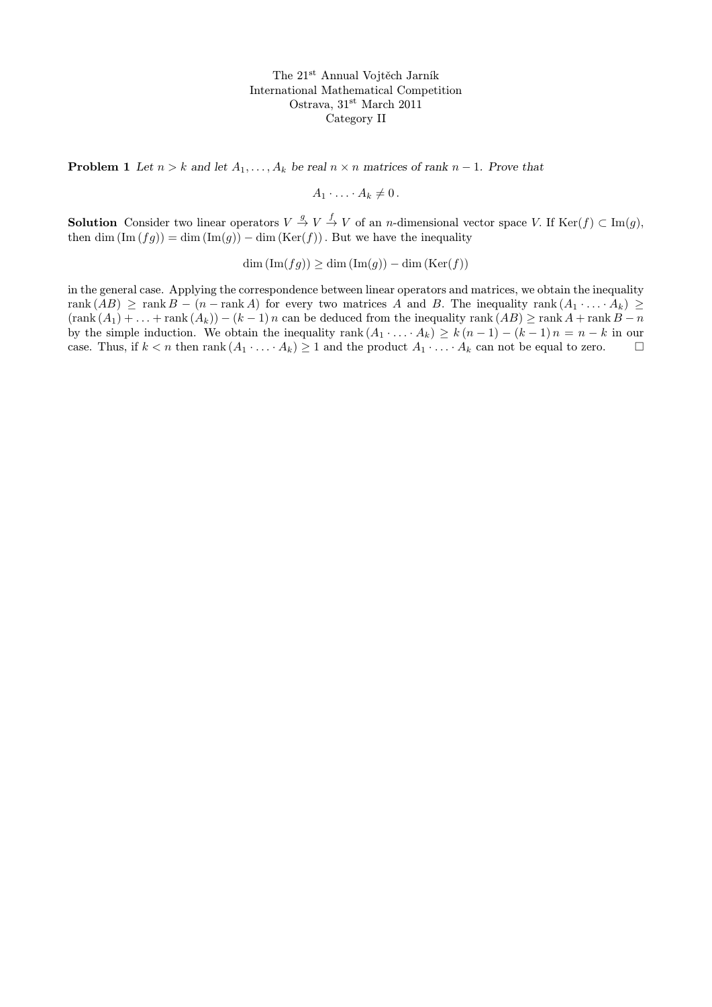**Problem 1** Let  $n > k$  and let  $A_1, \ldots, A_k$  be real  $n \times n$  matrices of rank  $n - 1$ . Prove that

$$
A_1\cdot\ldots\cdot A_k\neq 0\,.
$$

**Solution** Consider two linear operators  $V \stackrel{g}{\rightarrow} V \stackrel{f}{\rightarrow} V$  of an *n*-dimensional vector space V. If  $\text{Ker}(f) \subset \text{Im}(g)$ , then dim  $(\text{Im}(fg)) = \dim(\text{Im}(g)) - \dim(\text{Ker}(f))$ . But we have the inequality

 $\dim(\text{Im}(fg)) \geq \dim(\text{Im}(g)) - \dim(\text{Ker}(f))$ 

in the general case. Applying the correspondence between linear operators and matrices, we obtain the inequality rank  $(AB) \geq \text{rank } B - (n - \text{rank } A)$  for every two matrices A and B. The inequality rank  $(A_1 \cdot \ldots \cdot A_k) \geq$  $(\text{rank}(A_1) + \ldots + \text{rank}(A_k)) - (k-1)n$  can be deduced from the inequality rank  $(AB) \ge \text{rank } A + \text{rank } B - n$ by the simple induction. We obtain the inequality rank  $(A_1 \cdot \ldots \cdot A_k) \geq k (n-1) - (k-1) n = n-k$  in our case. Thus, if  $k < n$  then rank  $(A_1 \cdot \ldots \cdot A_k) \geq 1$  and the product  $A_1 \cdot \ldots \cdot A_k$  can not be equal to zero.  $\square$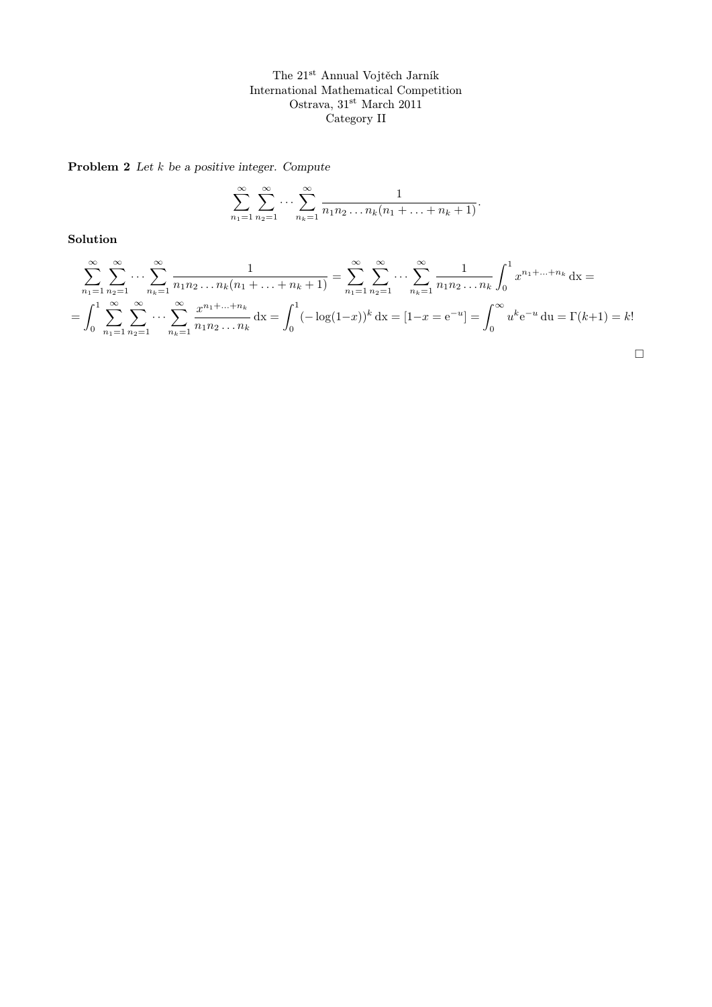Problem 2 Let  $k$  be a positive integer. Compute

$$
\sum_{n_1=1}^{\infty} \sum_{n_2=1}^{\infty} \cdots \sum_{n_k=1}^{\infty} \frac{1}{n_1 n_2 \ldots n_k (n_1 + \ldots + n_k + 1)}.
$$

Solution

$$
\sum_{n_1=1}^{\infty} \sum_{n_2=1}^{\infty} \cdots \sum_{n_k=1}^{\infty} \frac{1}{n_1 n_2 \cdots n_k (n_1 + \cdots + n_k + 1)} = \sum_{n_1=1}^{\infty} \sum_{n_2=1}^{\infty} \cdots \sum_{n_k=1}^{\infty} \frac{1}{n_1 n_2 \cdots n_k} \int_0^1 x^{n_1 + \cdots + n_k} dx =
$$
  
= 
$$
\int_0^1 \sum_{n_1=1}^{\infty} \sum_{n_2=1}^{\infty} \cdots \sum_{n_k=1}^{\infty} \frac{x^{n_1 + \cdots + n_k}}{n_1 n_2 \cdots n_k} dx = \int_0^1 (-\log(1-x))^k dx = [1-x] = e^{-u} = \int_0^{\infty} u^k e^{-u} du = \Gamma(k+1) = k!
$$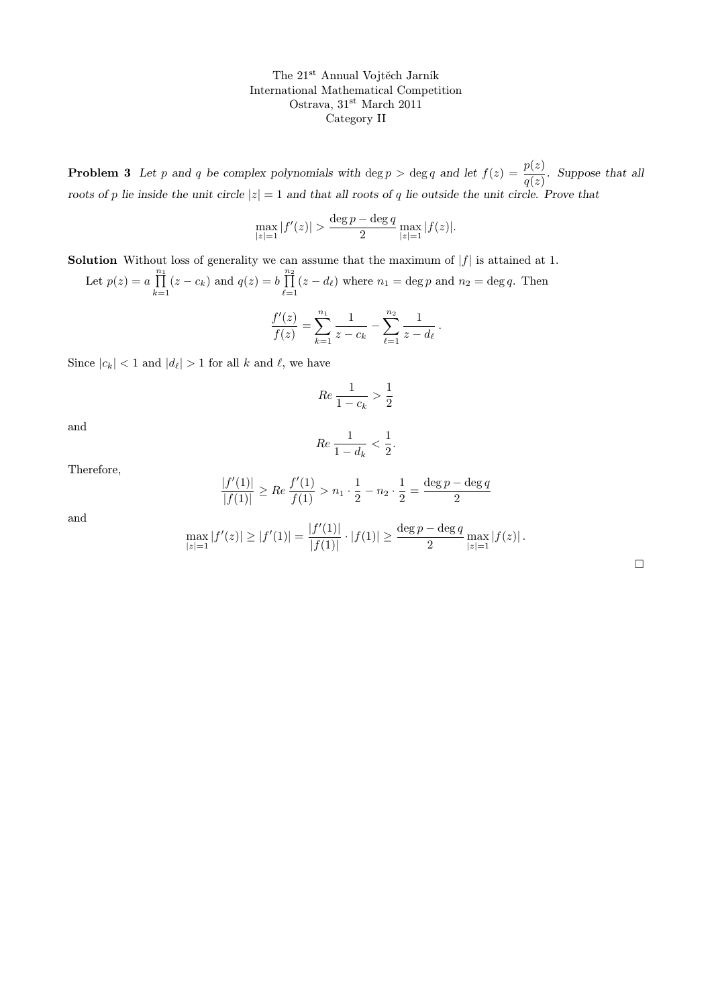**Problem 3** Let p and q be complex polynomials with deg  $p > \deg q$  and let  $f(z) = \frac{p(z)}{q(z)}$ . Suppose that all roots of p lie inside the unit circle  $|z| = 1$  and that all roots of q lie outside the unit circle. Prove that

$$
\max_{|z|=1} |f'(z)| > \frac{\deg p - \deg q}{2} \max_{|z|=1} |f(z)|.
$$

**Solution** Without loss of generality we can assume that the maximum of  $|f|$  is attained at 1.

Let  $p(z) = a \prod_{i=1}^{n_1}$  $\prod_{k=1}^{n_1} (z - c_k)$  and  $q(z) = b \prod_{\ell=z}^{n_2}$  $\prod_{\ell=1} (z - d_{\ell})$  where  $n_1 = \deg p$  and  $n_2 = \deg q$ . Then  $\frac{f'(z)}{z} = \sum_{n=1}^{n} \frac{1}{z^n}$  $n_2$ 1 .

$$
\frac{f'(z)}{f(z)} = \sum_{k=1}^{\infty} \frac{1}{z - c_k} - \sum_{\ell=1}^{\infty} \frac{1}{z - d_{\ell}}
$$

Since  $|c_k| < 1$  and  $|d_\ell| > 1$  for all k and  $\ell$ , we have

$$
Re\, \frac{1}{1-c_k} > \frac{1}{2}
$$

and

$$
Re\,\frac{1}{1-d_k} < \frac{1}{2}.
$$

Therefore,

$$
\frac{|f'(1)|}{|f(1)|} \ge Re \frac{f'(1)}{f(1)} > n_1 \cdot \frac{1}{2} - n_2 \cdot \frac{1}{2} = \frac{\deg p - \deg q}{2}
$$

and

$$
\max_{|z|=1} |f'(z)| \ge |f'(1)| = \frac{|f'(1)|}{|f(1)|} \cdot |f(1)| \ge \frac{\deg p - \deg q}{2} \max_{|z|=1} |f(z)|.
$$